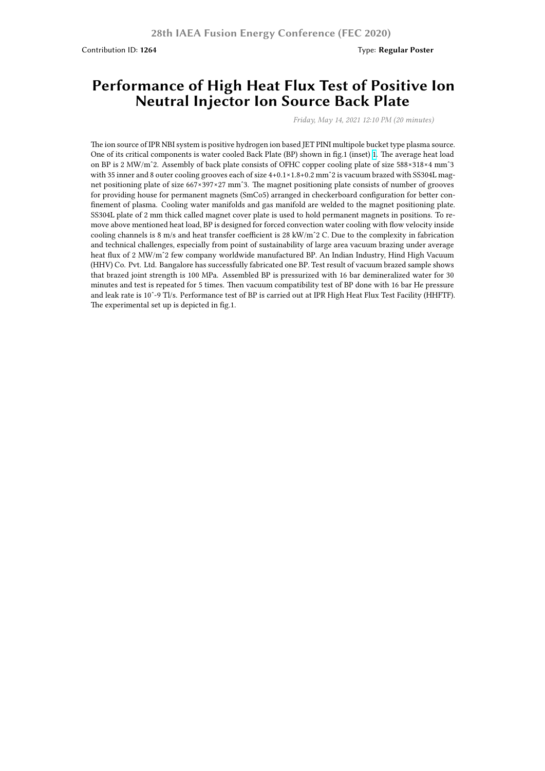## **Performance of High Heat Flux Test of Positive Ion Neutral Injector Ion Source Back Plate**

*Friday, May 14, 2021 12:10 PM (20 minutes)*

The ion source of IPR NBI system is positive hydrogen ion based JET PINI multipole bucket type plasma source. One of its critical components is water cooled Back Plate (BP) shown in fig.1 (inset) 1. The average heat load on BP is 2 MW/mˆ2. Assembly of back plate consists of OFHC copper cooling plate of size 588×318×4 mmˆ3 with 35 inner and 8 outer cooling grooves each of size  $4+0.1\times1.8+0.2$  mm<sup>2</sup> is vacuum brazed with SS304L magnet positioning plate of size 667×397×27 mmˆ3. The magnet positioning plate consists of number of grooves for providing house for permanent magnets (SmCo5) arranged in checkerboard configuration for better confinement of plasma. Cooling water manifolds and gas manifold are welded to the [ma](http://www.ipr.res.in/fec2020/images/BP1.jpg)gnet positioning plate. SS304L plate of 2 mm thick called magnet cover plate is used to hold permanent magnets in positions. To remove above mentioned heat load, BP is designed for forced convection water cooling with flow velocity inside cooling channels is 8 m/s and heat transfer coefficient is 28 kW/mˆ2 C. Due to the complexity in fabrication and technical challenges, especially from point of sustainability of large area vacuum brazing under average heat flux of 2 MW/mˆ2 few company worldwide manufactured BP. An Indian Industry, Hind High Vacuum (HHV) Co. Pvt. Ltd. Bangalore has successfully fabricated one BP. Test result of vacuum brazed sample shows that brazed joint strength is 100 MPa. Assembled BP is pressurized with 16 bar demineralized water for 30 minutes and test is repeated for 5 times. Then vacuum compatibility test of BP done with 16 bar He pressure and leak rate is 10ˆ-9 Tl/s. Performance test of BP is carried out at IPR High Heat Flux Test Facility (HHFTF). The experimental set up is depicted in fig.1.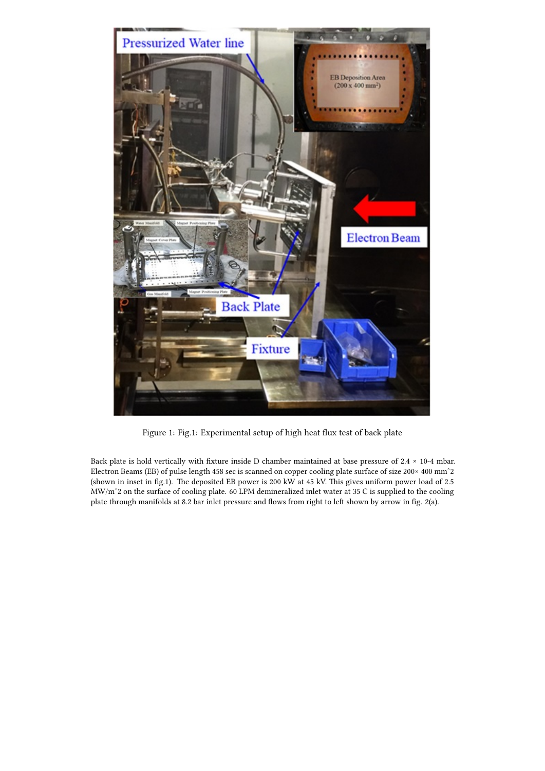

Figure 1: Fig.1: Experimental setup of high heat flux test of back plate

Back plate is hold vertically with fixture inside D chamber maintained at base pressure of 2.4 × 10-4 mbar. Electron Beams (EB) of pulse length 458 sec is scanned on copper cooling plate surface of size 200× 400 mmˆ2 (shown in inset in fig.1). The deposited EB power is 200 kW at 45 kV. This gives uniform power load of 2.5 MW/mˆ2 on the surface of cooling plate. 60 LPM demineralized inlet water at 35 C is supplied to the cooling plate through manifolds at 8.2 bar inlet pressure and flows from right to left shown by arrow in fig. 2(a).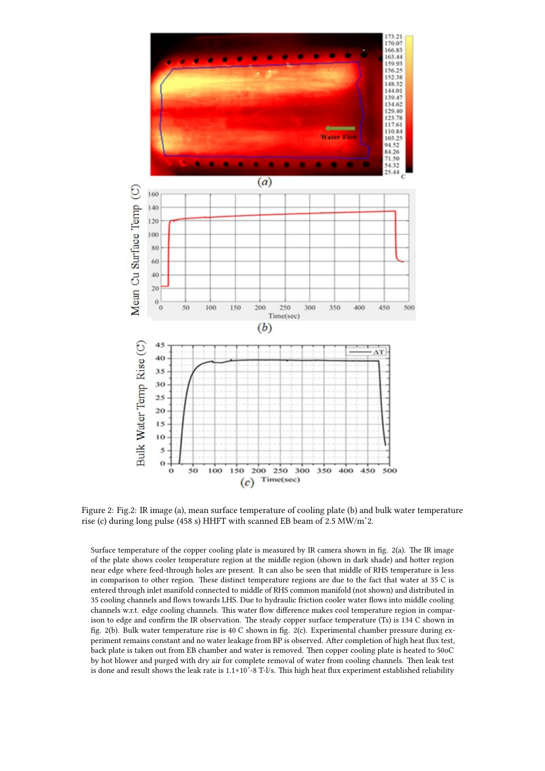

Figure 2: Fig.2: IR image (a), mean surface temperature of cooling plate (b) and bulk water temperature rise (c) during long pulse (458 s) HHFT with scanned EB beam of 2.5 MW/mˆ2.

Surface temperature of the copper cooling plate is measured by IR camera shown in fig. 2(a). The IR image of the plate shows cooler temperature region at the middle region (shown in dark shade) and hotter region near edge where feed-through holes are present. It can also be seen that middle of RHS temperature is less in comparison to other region. These distinct temperature regions are due to the fact that water at 35 C is entered through inlet manifold connected to middle of RHS common manifold (not shown) and distributed in 35 cooling channels and flows towards LHS. Due to hydraulic friction cooler water flows into middle cooling channels w.r.t. edge cooling channels. This water flow difference makes cool temperature region in comparison to edge and confirm the IR observation. The steady copper surface temperature (Ts) is 134 C shown in fig. 2(b). Bulk water temperature rise is 40 C shown in fig. 2(c). Experimental chamber pressure during experiment remains constant and no water leakage from BP is observed. After completion of high heat flux test, back plate is taken out from EB chamber and water is removed. Then copper cooling plate is heated to 50oC by hot blower and purged with dry air for complete removal of water from cooling channels. Then leak test is done and result shows the leak rate is 1.1×10ˆ-8 T-l/s. This high heat flux experiment established reliability